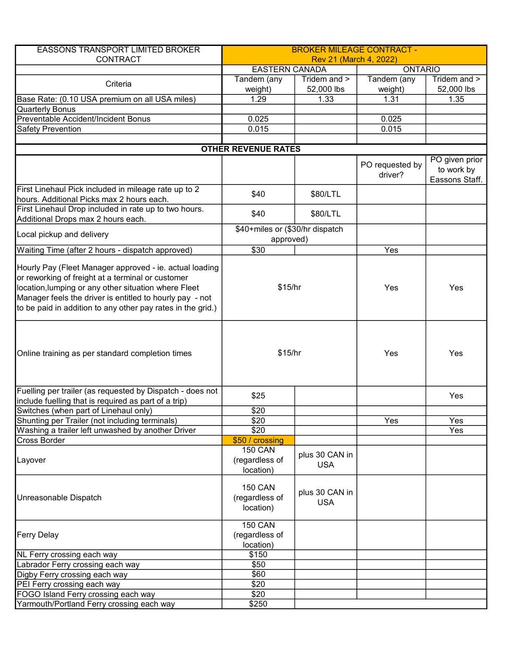| <b>EASSONS TRANSPORT LIMITED BROKER</b>                                                                                                                                                                                                                                                         | <b>BROKER MILEAGE CONTRACT -</b>              |                              |                            |                              |  |
|-------------------------------------------------------------------------------------------------------------------------------------------------------------------------------------------------------------------------------------------------------------------------------------------------|-----------------------------------------------|------------------------------|----------------------------|------------------------------|--|
| <b>CONTRACT</b>                                                                                                                                                                                                                                                                                 | Rev 21 (March 4, 2022)                        |                              |                            |                              |  |
|                                                                                                                                                                                                                                                                                                 |                                               | <b>EASTERN CANADA</b>        |                            | <b>ONTARIO</b>               |  |
| Criteria                                                                                                                                                                                                                                                                                        | Tandem (any<br>weight)                        | Tridem and ><br>52,000 lbs   | Tandem (any<br>weight)     | Tridem and ><br>52,000 lbs   |  |
| Base Rate: (0.10 USA premium on all USA miles)                                                                                                                                                                                                                                                  | 1.29                                          | 1.33                         | 1.31                       | 1.35                         |  |
| <b>Quarterly Bonus</b>                                                                                                                                                                                                                                                                          |                                               |                              |                            |                              |  |
| Preventable Accident/Incident Bonus                                                                                                                                                                                                                                                             | 0.025                                         |                              | 0.025                      |                              |  |
| <b>Safety Prevention</b>                                                                                                                                                                                                                                                                        | 0.015                                         |                              | 0.015                      |                              |  |
|                                                                                                                                                                                                                                                                                                 |                                               |                              |                            |                              |  |
|                                                                                                                                                                                                                                                                                                 | <b>OTHER REVENUE RATES</b>                    |                              |                            | PO given prior               |  |
|                                                                                                                                                                                                                                                                                                 |                                               |                              | PO requested by<br>driver? | to work by<br>Eassons Staff. |  |
| First Linehaul Pick included in mileage rate up to 2<br>hours. Additional Picks max 2 hours each.                                                                                                                                                                                               | \$40                                          | \$80/LTL                     |                            |                              |  |
| First Linehaul Drop included in rate up to two hours.                                                                                                                                                                                                                                           | \$40                                          | \$80/LTL                     |                            |                              |  |
| Additional Drops max 2 hours each.                                                                                                                                                                                                                                                              |                                               |                              |                            |                              |  |
| Local pickup and delivery                                                                                                                                                                                                                                                                       | \$40+miles or (\$30/hr dispatch<br>approved)  |                              |                            |                              |  |
| Waiting Time (after 2 hours - dispatch approved)                                                                                                                                                                                                                                                | $\overline{$30}$                              |                              | Yes                        |                              |  |
| Hourly Pay (Fleet Manager approved - ie. actual loading<br>or reworking of freight at a terminal or customer<br>location, lumping or any other situation where Fleet<br>Manager feels the driver is entitled to hourly pay - not<br>to be paid in addition to any other pay rates in the grid.) | \$15/hr                                       |                              | Yes                        | Yes                          |  |
| Online training as per standard completion times                                                                                                                                                                                                                                                | \$15/hr                                       |                              | Yes                        | Yes                          |  |
| Fuelling per trailer (as requested by Dispatch - does not<br>include fuelling that is required as part of a trip)                                                                                                                                                                               | \$25                                          |                              |                            | Yes                          |  |
| Switches (when part of Linehaul only)                                                                                                                                                                                                                                                           | \$20                                          |                              |                            |                              |  |
| Shunting per Trailer (not including terminals)                                                                                                                                                                                                                                                  | \$20                                          |                              | Yes                        | Yes                          |  |
| Washing a trailer left unwashed by another Driver                                                                                                                                                                                                                                               | \$20                                          |                              |                            | Yes                          |  |
| <b>Cross Border</b>                                                                                                                                                                                                                                                                             | \$50 / crossing                               |                              |                            |                              |  |
| Layover                                                                                                                                                                                                                                                                                         | <b>150 CAN</b><br>(regardless of<br>location) | plus 30 CAN in<br><b>USA</b> |                            |                              |  |
| Unreasonable Dispatch                                                                                                                                                                                                                                                                           | <b>150 CAN</b><br>(regardless of<br>location) | plus 30 CAN in<br><b>USA</b> |                            |                              |  |
| <b>Ferry Delay</b>                                                                                                                                                                                                                                                                              | <b>150 CAN</b><br>(regardless of<br>location) |                              |                            |                              |  |
| NL Ferry crossing each way                                                                                                                                                                                                                                                                      | \$150                                         |                              |                            |                              |  |
| Labrador Ferry crossing each way                                                                                                                                                                                                                                                                | \$50                                          |                              |                            |                              |  |
| Digby Ferry crossing each way                                                                                                                                                                                                                                                                   | \$60                                          |                              |                            |                              |  |
| PEI Ferry crossing each way                                                                                                                                                                                                                                                                     | \$20                                          |                              |                            |                              |  |
| FOGO Island Ferry crossing each way                                                                                                                                                                                                                                                             | \$20                                          |                              |                            |                              |  |
| Yarmouth/Portland Ferry crossing each way                                                                                                                                                                                                                                                       | \$250                                         |                              |                            |                              |  |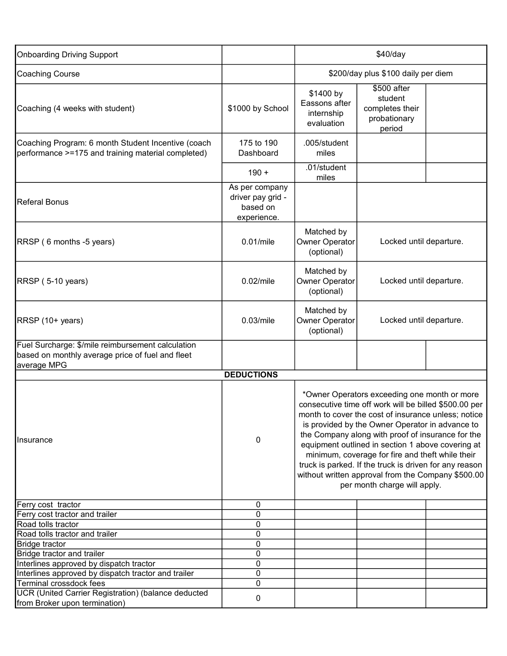| <b>Onboarding Driving Support</b>                                                                                    |                                                                | \$40/day                                                                                                                                                                                                                                                                                                                                                                                                                                                                                                                      |                                                                     |  |
|----------------------------------------------------------------------------------------------------------------------|----------------------------------------------------------------|-------------------------------------------------------------------------------------------------------------------------------------------------------------------------------------------------------------------------------------------------------------------------------------------------------------------------------------------------------------------------------------------------------------------------------------------------------------------------------------------------------------------------------|---------------------------------------------------------------------|--|
| Coaching Course                                                                                                      |                                                                | \$200/day plus \$100 daily per diem                                                                                                                                                                                                                                                                                                                                                                                                                                                                                           |                                                                     |  |
| Coaching (4 weeks with student)                                                                                      | \$1000 by School                                               | \$1400 by<br>Eassons after<br>internship<br>evaluation                                                                                                                                                                                                                                                                                                                                                                                                                                                                        | \$500 after<br>student<br>completes their<br>probationary<br>period |  |
| Coaching Program: 6 month Student Incentive (coach<br>performance >=175 and training material completed)             | 175 to 190<br>Dashboard                                        | .005/student<br>miles                                                                                                                                                                                                                                                                                                                                                                                                                                                                                                         |                                                                     |  |
|                                                                                                                      | $190 +$                                                        | .01/student<br>miles                                                                                                                                                                                                                                                                                                                                                                                                                                                                                                          |                                                                     |  |
| <b>Referal Bonus</b>                                                                                                 | As per company<br>driver pay grid -<br>based on<br>experience. |                                                                                                                                                                                                                                                                                                                                                                                                                                                                                                                               |                                                                     |  |
| RRSP (6 months -5 years)                                                                                             | 0.01/mile                                                      | Matched by<br>Owner Operator<br>(optional)                                                                                                                                                                                                                                                                                                                                                                                                                                                                                    | Locked until departure.                                             |  |
| RRSP (5-10 years)                                                                                                    | $0.02$ /mile                                                   | Matched by<br>Owner Operator<br>(optional)                                                                                                                                                                                                                                                                                                                                                                                                                                                                                    | Locked until departure.                                             |  |
| RRSP (10+ years)                                                                                                     | $0.03$ /mile                                                   | Matched by<br>Owner Operator<br>(optional)                                                                                                                                                                                                                                                                                                                                                                                                                                                                                    | Locked until departure.                                             |  |
| Fuel Surcharge: \$/mile reimbursement calculation<br>based on monthly average price of fuel and fleet<br>average MPG |                                                                |                                                                                                                                                                                                                                                                                                                                                                                                                                                                                                                               |                                                                     |  |
|                                                                                                                      | <b>DEDUCTIONS</b>                                              |                                                                                                                                                                                                                                                                                                                                                                                                                                                                                                                               |                                                                     |  |
| Insurance                                                                                                            | 0                                                              | *Owner Operators exceeding one month or more<br>consecutive time off work will be billed \$500.00 per<br>month to cover the cost of insurance unless; notice<br>is provided by the Owner Operator in advance to<br>the Company along with proof of insurance for the<br>equipment outlined in section 1 above covering at<br>minimum, coverage for fire and theft while their<br>truck is parked. If the truck is driven for any reason<br>without written approval from the Company \$500.00<br>per month charge will apply. |                                                                     |  |
| Ferry cost tractor                                                                                                   | 0                                                              |                                                                                                                                                                                                                                                                                                                                                                                                                                                                                                                               |                                                                     |  |
| Ferry cost tractor and trailer                                                                                       | 0                                                              |                                                                                                                                                                                                                                                                                                                                                                                                                                                                                                                               |                                                                     |  |
| Road tolls tractor                                                                                                   | 0                                                              |                                                                                                                                                                                                                                                                                                                                                                                                                                                                                                                               |                                                                     |  |
| Road tolls tractor and trailer                                                                                       | 0                                                              |                                                                                                                                                                                                                                                                                                                                                                                                                                                                                                                               |                                                                     |  |
| <b>Bridge tractor</b>                                                                                                | 0                                                              |                                                                                                                                                                                                                                                                                                                                                                                                                                                                                                                               |                                                                     |  |
| Bridge tractor and trailer                                                                                           | 0                                                              |                                                                                                                                                                                                                                                                                                                                                                                                                                                                                                                               |                                                                     |  |
| Interlines approved by dispatch tractor                                                                              | 0                                                              |                                                                                                                                                                                                                                                                                                                                                                                                                                                                                                                               |                                                                     |  |
| Interlines approved by dispatch tractor and trailer                                                                  | 0                                                              |                                                                                                                                                                                                                                                                                                                                                                                                                                                                                                                               |                                                                     |  |
| Terminal crossdock fees                                                                                              | 0                                                              |                                                                                                                                                                                                                                                                                                                                                                                                                                                                                                                               |                                                                     |  |
| UCR (United Carrier Registration) (balance deducted<br>from Broker upon termination)                                 | 0                                                              |                                                                                                                                                                                                                                                                                                                                                                                                                                                                                                                               |                                                                     |  |